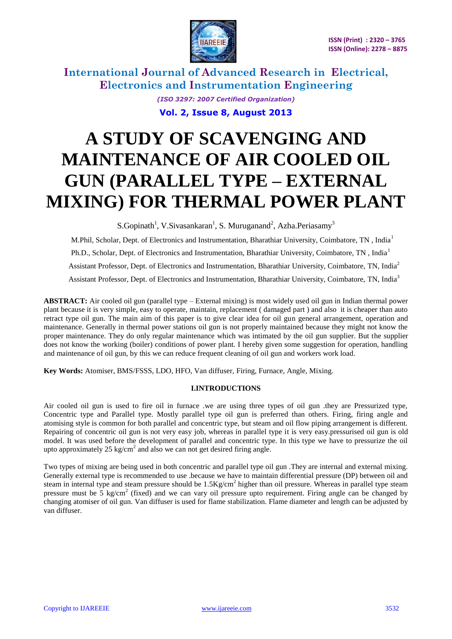

> *(ISO 3297: 2007 Certified Organization)* **Vol. 2, Issue 8, August 2013**

# **A STUDY OF SCAVENGING AND MAINTENANCE OF AIR COOLED OIL GUN (PARALLEL TYPE – EXTERNAL MIXING) FOR THERMAL POWER PLANT**

S.Gopinath<sup>1</sup>, V.Sivasankaran<sup>1</sup>, S. Muruganand<sup>2</sup>, Azha.Periasamy<sup>3</sup>

M.Phil, Scholar, Dept. of Electronics and Instrumentation, Bharathiar University, Coimbatore, TN, India<sup>1</sup> Ph.D., Scholar, Dept. of Electronics and Instrumentation, Bharathiar University, Coimbatore, TN, India<sup>1</sup> Assistant Professor, Dept. of Electronics and Instrumentation, Bharathiar University, Coimbatore, TN, India<sup>2</sup> Assistant Professor, Dept. of Electronics and Instrumentation, Bharathiar University, Coimbatore, TN, India<sup>3</sup>

**ABSTRACT:** Air cooled oil gun (parallel type – External mixing) is most widely used oil gun in Indian thermal power plant because it is very simple, easy to operate, maintain, replacement ( damaged part ) and also it is cheaper than auto retract type oil gun. The main aim of this paper is to give clear idea for oil gun general arrangement, operation and maintenance. Generally in thermal power stations oil gun is not properly maintained because they might not know the proper maintenance. They do only regular maintenance which was intimated by the oil gun supplier. But the supplier does not know the working (boiler) conditions of power plant. I hereby given some suggestion for operation, handling and maintenance of oil gun, by this we can reduce frequent cleaning of oil gun and workers work load.

**Key Words:** Atomiser, BMS/FSSS, LDO, HFO, Van diffuser, Firing, Furnace, Angle, Mixing.

### **I.INTRODUCTIONS**

Air cooled oil gun is used to fire oil in furnace .we are using three types of oil gun .they are Pressurized type, Concentric type and Parallel type. Mostly parallel type oil gun is preferred than others. Firing, firing angle and atomising style is common for both parallel and concentric type, but steam and oil flow piping arrangement is different. Repairing of concentric oil gun is not very easy job, whereas in parallel type it is very easy.pressurised oil gun is old model. It was used before the development of parallel and concentric type. In this type we have to pressurize the oil upto approximately 25 kg/cm<sup>2</sup> and also we can not get desired firing angle.

Two types of mixing are being used in both concentric and parallel type oil gun .They are internal and external mixing. Generally external type is recommended to use .because we have to maintain differential pressure (DP) between oil and steam in internal type and steam pressure should be  $1.5\text{Kg/cm}^2$  higher than oil pressure. Whereas in parallel type steam pressure must be  $5 \text{ kg/cm}^2$  (fixed) and we can vary oil pressure upto requirement. Firing angle can be changed by changing atomiser of oil gun. Van diffuser is used for flame stabilization. Flame diameter and length can be adjusted by van diffuser.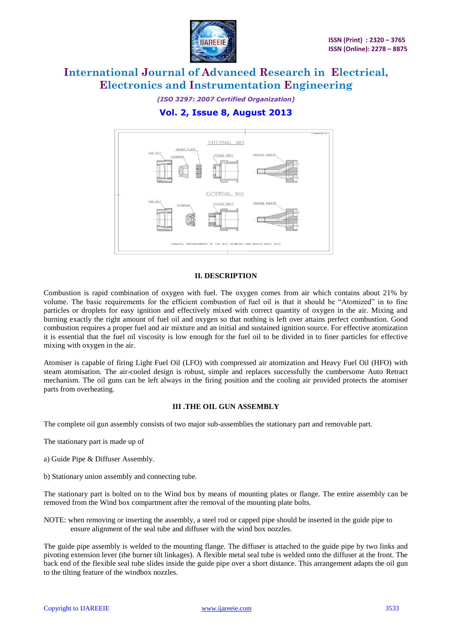

# *(ISO 3297: 2007 Certified Organization)* **Vol. 2, Issue 8, August 2013**



### **II. DESCRIPTION**

Combustion is rapid combination of oxygen with fuel. The oxygen comes from air which contains about 21% by volume. The basic requirements for the efficient combustion of fuel oil is that it should be "Atomized" in to fine particles or droplets for easy ignition and effectively mixed with correct quantity of oxygen in the air. Mixing and burning exactly the right amount of fuel oil and oxygen so that nothing is left over attains perfect combustion. Good combustion requires a proper fuel and air mixture and an initial and sustained ignition source. For effective atomization it is essential that the fuel oil viscosity is low enough for the fuel oil to be divided in to finer particles for effective mixing with oxygen in the air.

Atomiser is capable of firing Light Fuel Oil (LFO) with compressed air atomization and Heavy Fuel Oil (HFO) with steam atomisation. The air-cooled design is robust, simple and replaces successfully the cumbersome Auto Retract mechanism. The oil guns can be left always in the firing position and the cooling air provided protects the atomiser parts from overheating.

### **III .THE OIL GUN ASSEMBLY**

The complete oil gun assembly consists of two major sub-assemblies the stationary part and removable part.

- The stationary part is made up of
- a) Guide Pipe & Diffuser Assembly.
- b) Stationary union assembly and connecting tube.

The stationary part is bolted on to the Wind box by means of mounting plates or flange. The entire assembly can be removed from the Wind box compartment after the removal of the mounting plate bolts.

NOTE: when removing or inserting the assembly, a steel rod or capped pipe should be inserted in the guide pipe to ensure alignment of the seal tube and diffuser with the wind box nozzles.

The guide pipe assembly is welded to the mounting flange. The diffuser is attached to the guide pipe by two links and pivoting extension lever (the burner tilt linkages). A flexible metal seal tube is welded onto the diffuser at the front. The back end of the flexible seal tube slides inside the guide pipe over a short distance. This arrangement adapts the oil gun to the tilting feature of the windbox nozzles.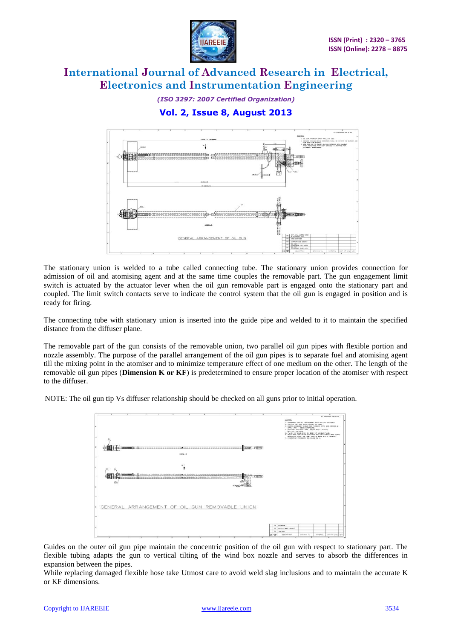

*(ISO 3297: 2007 Certified Organization)* **Vol. 2, Issue 8, August 2013**



The stationary union is welded to a tube called connecting tube. The stationary union provides connection for admission of oil and atomising agent and at the same time couples the removable part. The gun engagement limit switch is actuated by the actuator lever when the oil gun removable part is engaged onto the stationary part and coupled. The limit switch contacts serve to indicate the control system that the oil gun is engaged in position and is ready for firing.

The connecting tube with stationary union is inserted into the guide pipe and welded to it to maintain the specified distance from the diffuser plane.

The removable part of the gun consists of the removable union, two parallel oil gun pipes with flexible portion and nozzle assembly. The purpose of the parallel arrangement of the oil gun pipes is to separate fuel and atomising agent till the mixing point in the atomiser and to minimize temperature effect of one medium on the other. The length of the removable oil gun pipes (**Dimension K or KF**) is predetermined to ensure proper location of the atomiser with respect to the diffuser.

NOTE: The oil gun tip Vs diffuser relationship should be checked on all guns prior to initial operation.



Guides on the outer oil gun pipe maintain the concentric position of the oil gun with respect to stationary part. The flexible tubing adapts the gun to vertical tilting of the wind box nozzle and serves to absorb the differences in expansion between the pipes.

While replacing damaged flexible hose take Utmost care to avoid weld slag inclusions and to maintain the accurate K or KF dimensions.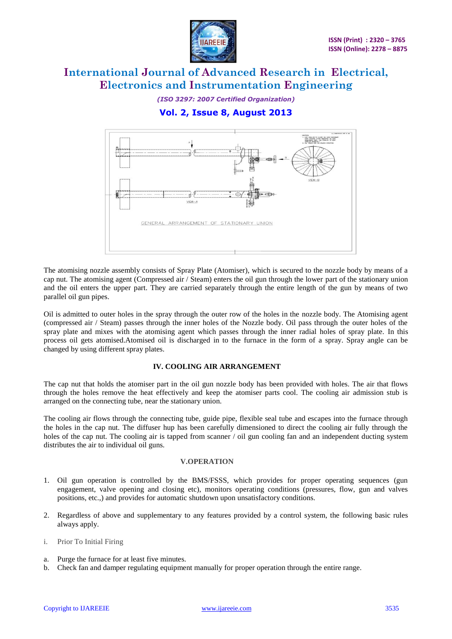

*(ISO 3297: 2007 Certified Organization)* **Vol. 2, Issue 8, August 2013**



The atomising nozzle assembly consists of Spray Plate (Atomiser), which is secured to the nozzle body by means of a cap nut. The atomising agent (Compressed air / Steam) enters the oil gun through the lower part of the stationary union and the oil enters the upper part. They are carried separately through the entire length of the gun by means of two parallel oil gun pipes.

Oil is admitted to outer holes in the spray through the outer row of the holes in the nozzle body. The Atomising agent (compressed air / Steam) passes through the inner holes of the Nozzle body. Oil pass through the outer holes of the spray plate and mixes with the atomising agent which passes through the inner radial holes of spray plate. In this process oil gets atomised.Atomised oil is discharged in to the furnace in the form of a spray. Spray angle can be changed by using different spray plates.

### **IV. COOLING AIR ARRANGEMENT**

The cap nut that holds the atomiser part in the oil gun nozzle body has been provided with holes. The air that flows through the holes remove the heat effectively and keep the atomiser parts cool. The cooling air admission stub is arranged on the connecting tube, near the stationary union.

The cooling air flows through the connecting tube, guide pipe, flexible seal tube and escapes into the furnace through the holes in the cap nut. The diffuser hup has been carefully dimensioned to direct the cooling air fully through the holes of the cap nut. The cooling air is tapped from scanner / oil gun cooling fan and an independent ducting system distributes the air to individual oil guns.

#### **V.OPERATION**

- 1. Oil gun operation is controlled by the BMS/FSSS, which provides for proper operating sequences (gun engagement, valve opening and closing etc), monitors operating conditions (pressures, flow, gun and valves positions, etc.,) and provides for automatic shutdown upon unsatisfactory conditions.
- 2. Regardless of above and supplementary to any features provided by a control system, the following basic rules always apply.
- i. Prior To Initial Firing
- a. Purge the furnace for at least five minutes.
- b. Check fan and damper regulating equipment manually for proper operation through the entire range.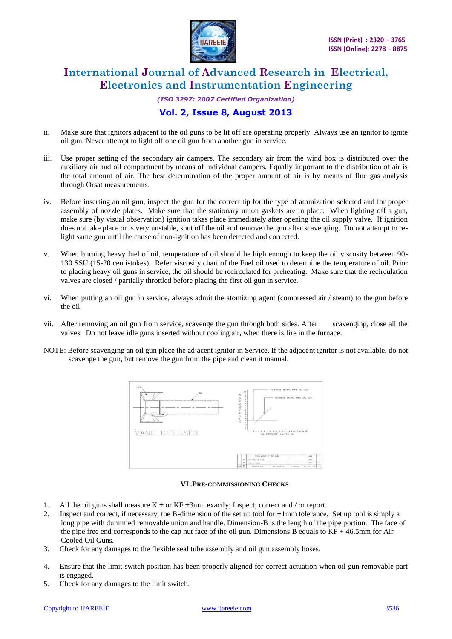

# *(ISO 3297: 2007 Certified Organization)* **Vol. 2, Issue 8, August 2013**

- ii. Make sure that ignitors adjacent to the oil guns to be lit off are operating properly. Always use an ignitor to ignite oil gun. Never attempt to light off one oil gun from another gun in service.
- iii. Use proper setting of the secondary air dampers. The secondary air from the wind box is distributed over the auxiliary air and oil compartment by means of individual dampers. Equally important to the distribution of air is the total amount of air. The best determination of the proper amount of air is by means of flue gas analysis through Orsat measurements.
- iv. Before inserting an oil gun, inspect the gun for the correct tip for the type of atomization selected and for proper assembly of nozzle plates. Make sure that the stationary union gaskets are in place. When lighting off a gun, make sure (by visual observation) ignition takes place immediately after opening the oil supply valve. If ignition does not take place or is very unstable, shut off the oil and remove the gun after scavenging. Do not attempt to relight same gun until the cause of non-ignition has been detected and corrected.
- v. When burning heavy fuel of oil, temperature of oil should be high enough to keep the oil viscosity between 90- 130 SSU (15-20 centistokes). Refer viscosity chart of the Fuel oil used to determine the temperature of oil. Prior to placing heavy oil guns in service, the oil should be recirculated for preheating. Make sure that the recirculation valves are closed / partially throttled before placing the first oil gun in service.
- vi. When putting an oil gun in service, always admit the atomizing agent (compressed air / steam) to the gun before the oil.
- vii. After removing an oil gun from service, scavenge the gun through both sides. After scavenging, close all the valves. Do not leave idle guns inserted without cooling air, when there is fire in the furnace.
- NOTE: Before scavenging an oil gun place the adjacent ignitor in Service. If the adjacent ignitor is not available, do not scavenge the gun, but remove the gun from the pipe and clean it manual.



### **VI .PRE-COMMISSIONING CHECKS**

- 1. All the oil guns shall measure  $K \pm or KF \pm 3mm$  exactly; Inspect; correct and / or report.
- 2. Inspect and correct, if necessary, the B-dimension of the set up tool for  $\pm 1$ mm tolerance. Set up tool is simply a long pipe with dummied removable union and handle. Dimension-B is the length of the pipe portion. The face of the pipe free end corresponds to the cap nut face of the oil gun. Dimensions B equals to KF + 46.5mm for Air Cooled Oil Guns.
- 3. Check for any damages to the flexible seal tube assembly and oil gun assembly hoses.
- 4. Ensure that the limit switch position has been properly aligned for correct actuation when oil gun removable part is engaged.
- 5. Check for any damages to the limit switch.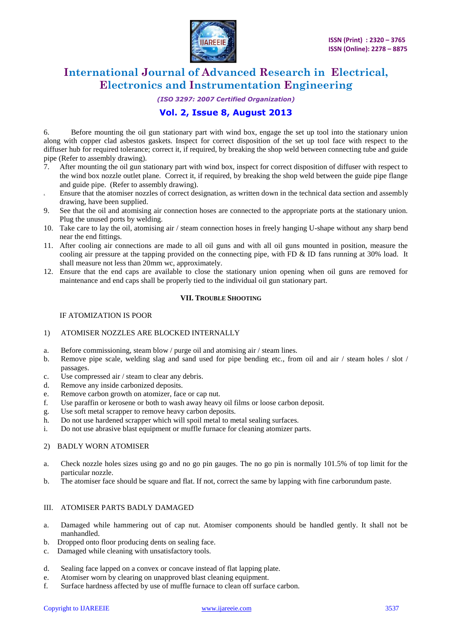

#### *(ISO 3297: 2007 Certified Organization)*

### **Vol. 2, Issue 8, August 2013**

6. Before mounting the oil gun stationary part with wind box, engage the set up tool into the stationary union along with copper clad asbestos gaskets. Inspect for correct disposition of the set up tool face with respect to the diffuser hub for required tolerance; correct it, if required, by breaking the shop weld between connecting tube and guide pipe (Refer to assembly drawing).

- 7. After mounting the oil gun stationary part with wind box, inspect for correct disposition of diffuser with respect to the wind box nozzle outlet plane. Correct it, if required, by breaking the shop weld between the guide pipe flange and guide pipe. (Refer to assembly drawing).
- 8. Ensure that the atomiser nozzles of correct designation, as written down in the technical data section and assembly drawing, have been supplied.
- 9. See that the oil and atomising air connection hoses are connected to the appropriate ports at the stationary union. Plug the unused ports by welding.
- 10. Take care to lay the oil, atomising air / steam connection hoses in freely hanging U-shape without any sharp bend near the end fittings.
- 11. After cooling air connections are made to all oil guns and with all oil guns mounted in position, measure the cooling air pressure at the tapping provided on the connecting pipe, with FD & ID fans running at 30% load. It shall measure not less than 20mm wc, approximately.
- 12. Ensure that the end caps are available to close the stationary union opening when oil guns are removed for maintenance and end caps shall be properly tied to the individual oil gun stationary part.

#### **VII. TROUBLE SHOOTING**

#### IF ATOMIZATION IS POOR

### 1) ATOMISER NOZZLES ARE BLOCKED INTERNALLY

- a. Before commissioning, steam blow / purge oil and atomising air / steam lines.
- b. Remove pipe scale, welding slag and sand used for pipe bending etc., from oil and air / steam holes / slot / passages.
- c. Use compressed air / steam to clear any debris.
- d. Remove any inside carbonized deposits.
- e. Remove carbon growth on atomizer, face or cap nut.
- f. Use paraffin or kerosene or both to wash away heavy oil films or loose carbon deposit.
- g. Use soft metal scrapper to remove heavy carbon deposits.
- h. Do not use hardened scrapper which will spoil metal to metal sealing surfaces.
- i. Do not use abrasive blast equipment or muffle furnace for cleaning atomizer parts.

### 2) BADLY WORN ATOMISER

- a. Check nozzle holes sizes using go and no go pin gauges. The no go pin is normally 101.5% of top limit for the particular nozzle.
- b. The atomiser face should be square and flat. If not, correct the same by lapping with fine carborundum paste.

#### III. ATOMISER PARTS BADLY DAMAGED

- a. Damaged while hammering out of cap nut. Atomiser components should be handled gently. It shall not be manhandled.
- b. Dropped onto floor producing dents on sealing face.
- c. Damaged while cleaning with unsatisfactory tools.
- d. Sealing face lapped on a convex or concave instead of flat lapping plate.
- e. Atomiser worn by clearing on unapproved blast cleaning equipment.
- f. Surface hardness affected by use of muffle furnace to clean off surface carbon.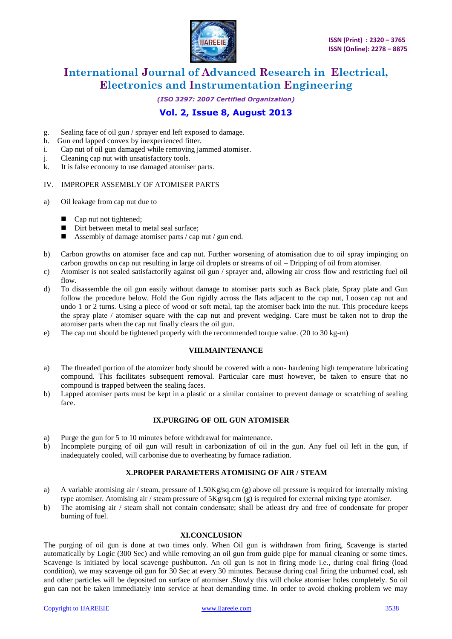

### *(ISO 3297: 2007 Certified Organization)*

# **Vol. 2, Issue 8, August 2013**

- g. Sealing face of oil gun / sprayer end left exposed to damage.
- h. Gun end lapped convex by inexperienced fitter.
- i. Cap nut of oil gun damaged while removing jammed atomiser.
- j. Cleaning cap nut with unsatisfactory tools.
- k. It is false economy to use damaged atomiser parts.

### IV. IMPROPER ASSEMBLY OF ATOMISER PARTS

- a) Oil leakage from cap nut due to
	- Cap nut not tightened;
	- Dirt between metal to metal seal surface:
	- **Assembly of damage atomiser parts / cap nut / gun end.**
- b) Carbon growths on atomiser face and cap nut. Further worsening of atomisation due to oil spray impinging on carbon growths on cap nut resulting in large oil droplets or streams of oil – Dripping of oil from atomiser.
- c) Atomiser is not sealed satisfactorily against oil gun / sprayer and, allowing air cross flow and restricting fuel oil flow.
- d) To disassemble the oil gun easily without damage to atomiser parts such as Back plate, Spray plate and Gun follow the procedure below. Hold the Gun rigidly across the flats adjacent to the cap nut, Loosen cap nut and undo 1 or 2 turns. Using a piece of wood or soft metal, tap the atomiser back into the nut. This procedure keeps the spray plate / atomiser square with the cap nut and prevent wedging. Care must be taken not to drop the atomiser parts when the cap nut finally clears the oil gun.
- e) The cap nut should be tightened properly with the recommended torque value. (20 to 30 kg-m)

#### **VIII.MAINTENANCE**

- a) The threaded portion of the atomizer body should be covered with a non- hardening high temperature lubricating compound. This facilitates subsequent removal. Particular care must however, be taken to ensure that no compound is trapped between the sealing faces.
- b) Lapped atomiser parts must be kept in a plastic or a similar container to prevent damage or scratching of sealing face.

#### **IX.PURGING OF OIL GUN ATOMISER**

- a) Purge the gun for 5 to 10 minutes before withdrawal for maintenance.
- b) Incomplete purging of oil gun will result in carbonization of oil in the gun. Any fuel oil left in the gun, if inadequately cooled, will carbonise due to overheating by furnace radiation.

### **X.PROPER PARAMETERS ATOMISING OF AIR / STEAM**

- a) A variable atomising air / steam, pressure of  $1.50Kg/gq.cm$  (g) above oil pressure is required for internally mixing type atomiser. Atomising air / steam pressure of 5Kg/sq.cm (g) is required for external mixing type atomiser.
- b) The atomising air / steam shall not contain condensate; shall be atleast dry and free of condensate for proper burning of fuel.

#### **XI.CONCLUSION**

The purging of oil gun is done at two times only. When Oil gun is withdrawn from firing, Scavenge is started automatically by Logic (300 Sec) and while removing an oil gun from guide pipe for manual cleaning or some times. Scavenge is initiated by local scavenge pushbutton. An oil gun is not in firing mode i.e., during coal firing (load condition), we may scavenge oil gun for 30 Sec at every 30 minutes. Because during coal firing the unburned coal, ash and other particles will be deposited on surface of atomiser .Slowly this will choke atomiser holes completely. So oil gun can not be taken immediately into service at heat demanding time. In order to avoid choking problem we may